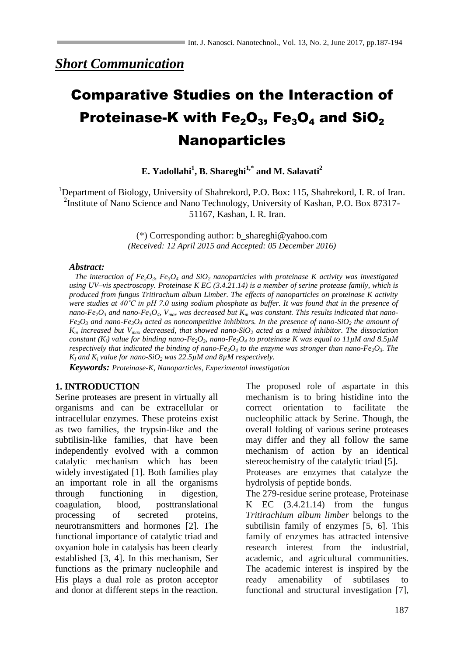*Short Communication*

# Comparative Studies on the Interaction of Proteinase-K with  $Fe<sub>2</sub>O<sub>3</sub>$ , Fe<sub>3</sub>O<sub>4</sub> and SiO<sub>2</sub> **Nanoparticles**

## **E. Yadollahi<sup>1</sup> , B. Shareghi1,\* and M. Salavati<sup>2</sup>**

<sup>1</sup>Department of Biology, University of Shahrekord, P.O. Box: 115, Shahrekord, I. R. of Iran. <sup>2</sup>Institute of Nano Science and Nano Technology, University of Kashan, P.O. Box 87317-51167, Kashan, I. R. Iran.

> (\*) Corresponding author: b\_shareghi@yahoo.com *(Received: 12 April 2015 and Accepted: 05 December 2016)*

#### *Abstract:*

*The interaction of Fe*<sub>2</sub> $O_3$ *, Fe*<sub>3</sub> $O_4$  *and SiO*<sub>2</sub> *nanoparticles with proteinase K activity was investigated using UV–vis spectroscopy. Proteinase K EC (3.4.21.14) is a member of serine protease family, which is produced from fungus Tritirachum album Limber. The effects of nanoparticles on proteinase K activity were studies at 40˚C in pH 7.0 using sodium phosphate as buffer. It was found that in the presence of nano-Fe*<sub>2</sub> $O_3$  *and nano-Fe*<sub>3</sub> $O_4$ *,*  $V_{max}$  *was decreased but*  $K_m$  *was constant. This results indicated that nano-* $Fe<sub>2</sub>O<sub>3</sub>$  *and nano-Fe*<sub>3</sub> $O<sub>4</sub>$  *acted as noncompetitive inhibitors. In the presence of nano-SiO<sub>2</sub> the amount of K<sup>m</sup> increased but Vmax decreased, that showed nano-SiO<sup>2</sup> acted as a mixed inhibitor. The dissociation constant*  $(K_i)$  value for binding nano-Fe<sub>2</sub>O<sub>3</sub>*, nano-Fe*<sub>3</sub>O<sub>4</sub> to proteinase K was equal to 11µM and 8.5µM *respectively that indicated the binding of nano-Fe<sub>3</sub>O<sub>4</sub> to the enzyme was stronger than nano-Fe<sub>2</sub>O<sub>3</sub>. The*  $K_l$  *and*  $K_i$  *value for nano-SiO*<sub>2</sub> *was* 22.5 $\mu$ *M and 8* $\mu$ *M respectively.* 

*Keywords: Proteinase-K, Nanoparticles, Experimental investigation*

### **1. INTRODUCTION**

Serine proteases are present in virtually all organisms and can be extracellular or intracellular enzymes. These proteins exist as two families, the trypsin-like and the subtilisin-like families, that have been independently evolved with a common catalytic mechanism which has been widely investigated [1]. Both families play an important role in all the organisms through functioning in digestion, coagulation, blood, posttranslational processing of secreted proteins, neurotransmitters and hormones [2]. The functional importance of catalytic triad and oxyanion hole in catalysis has been clearly established [3, 4]. In this mechanism, Ser functions as the primary nucleophile and His plays a dual role as proton acceptor and donor at different steps in the reaction. The proposed role of aspartate in this mechanism is to bring histidine into the correct orientation to facilitate the nucleophilic attack by Serine. Though, the overall folding of various serine proteases may differ and they all follow the same mechanism of action by an identical stereochemistry of the catalytic triad [5].

Proteases are enzymes that catalyze the hydrolysis of peptide bonds.

The 279-residue serine protease, Proteinase K EC  $(3.4.21.14)$  from the fungus *Tritirachium album limber* belongs to the subtilisin family of enzymes [5, 6]. This family of enzymes has attracted intensive research interest from the industrial, academic, and agricultural communities. The academic interest is inspired by the ready amenability of subtilases to functional and structural investigation [7],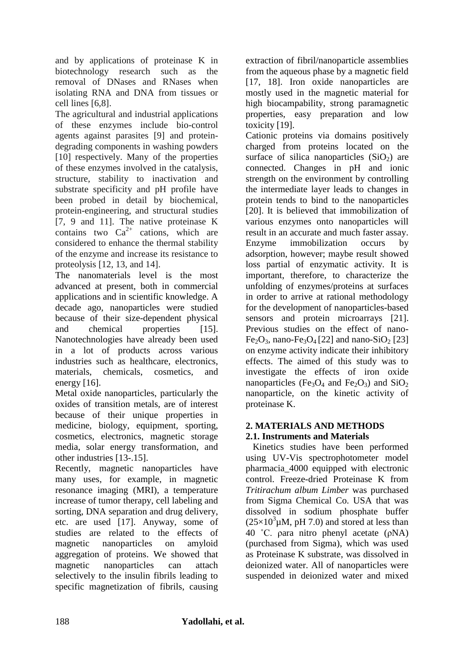and by applications of proteinase K in biotechnology research such as the removal of DNases and RNases when isolating RNA and DNA from tissues or cell lines [6,8].

The agricultural and industrial applications of these enzymes include bio-control agents against parasites [9] and proteindegrading components in washing powders [10] respectively. Many of the properties of these enzymes involved in the catalysis, structure, stability to inactivation and substrate specificity and pH profile have been probed in detail by biochemical, protein-engineering, and structural studies [7, 9 and 11]. The native proteinase K contains two  $Ca^{2+}$  cations, which are considered to enhance the thermal stability of the enzyme and increase its resistance to proteolysis [12, 13, and 14].

The nanomaterials level is the most advanced at present, both in commercial applications and in scientific knowledge. A decade ago, nanoparticles were studied because of their size-dependent physical and chemical properties [15]. Nanotechnologies have already been used in a lot of products across various industries such as healthcare, electronics, materials, chemicals, cosmetics, and energy [16].

Metal oxide nanoparticles, particularly the oxides of transition metals, are of interest because of their unique properties in medicine, biology, equipment, sporting, cosmetics, electronics, magnetic storage media, solar energy transformation, and other industries [13-.15].

Recently, magnetic nanoparticles have many uses, for example, in magnetic resonance imaging (MRI), a temperature increase of tumor therapy, cell labeling and sorting, DNA separation and drug delivery, etc. are used [17]. Anyway, some of studies are related to the effects of magnetic nanoparticles on amyloid aggregation of proteins. We showed that magnetic nanoparticles can attach selectively to the insulin fibrils leading to specific magnetization of fibrils, causing

extraction of fibril/nanoparticle assemblies from the aqueous phase by a magnetic field [17, 18]. Iron oxide nanoparticles are mostly used in the magnetic material for high biocampability, strong paramagnetic properties, easy preparation and low toxicity [19].

Cationic proteins via domains positively charged from proteins located on the surface of silica nanoparticles  $(SiO<sub>2</sub>)$  are connected. Changes in pH and ionic strength on the environment by controlling the intermediate layer leads to changes in protein tends to bind to the nanoparticles [20]. It is believed that immobilization of various enzymes onto nanoparticles will result in an accurate and much faster assay. Enzyme immobilization occurs by adsorption, however; maybe result showed loss partial of enzymatic activity. It is important, therefore, to characterize the unfolding of enzymes/proteins at surfaces in order to arrive at rational methodology for the development of nanoparticles-based sensors and protein microarrays [21]. Previous studies on the effect of nano- $Fe<sub>2</sub>O<sub>3</sub>$ , nano- $Fe<sub>3</sub>O<sub>4</sub>$  [22] and nano-SiO<sub>2</sub> [23] on enzyme activity indicate their inhibitory effects. The aimed of this study was to investigate the effects of iron oxide nanoparticles (Fe<sub>3</sub>O<sub>4</sub> and Fe<sub>2</sub>O<sub>3</sub>) and SiO<sub>2</sub> nanoparticle, on the kinetic activity of proteinase K.

# **2. MATERIALS AND METHODS**

**2.1. Instruments and Materials** Kinetics studies have been performed using UV-Vis spectrophotometer model pharmacia\_4000 equipped with electronic control. Freeze-dried Proteinase K from *Tritirachum album Limber* was purchased from Sigma Chemical Co. USA that was dissolved in sodium phosphate buffer  $(25\times10^3 \mu M, pH 7.0)$  and stored at less than 40 ˚C. ρara nitro phenyl acetate (ρNA) (purchased from Sigma), which was used as Proteinase K substrate, was dissolved in deionized water. All of nanoparticles were suspended in deionized water and mixed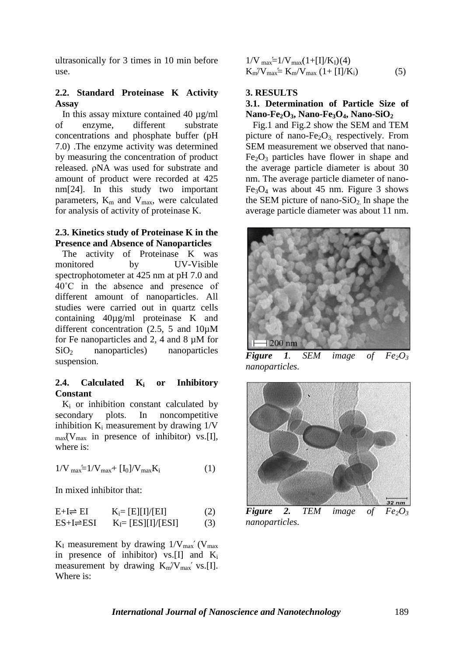ultrasonically for 3 times in 10 min before use.

#### **2.2. Standard Proteinase K Activity Assay**

 In this assay mixture contained 40 µg/ml of enzyme, different substrate concentrations and phosphate buffer (pH 7.0) .The enzyme activity was determined by measuring the concentration of product released. ρNA was used for substrate and amount of product were recorded at 425 nm[24]. In this study two important parameters,  $K_m$  and  $V_{max}$ , were calculated for analysis of activity of proteinase K.

#### **2.3. Kinetics study of Proteinase K in the Presence and Absence of Nanoparticles**

 The activity of Proteinase K was monitored by UV-Visible spectrophotometer at 425 nm at pH 7.0 and 40˚C in the absence and presence of different amount of nanoparticles. All studies were carried out in quartz cells containing 40µg/ml proteinase K and different concentration (2.5, 5 and 10µM for Fe nanoparticles and 2, 4 and 8 µM for SiO<sup>2</sup> nanoparticles) nanoparticles suspension.

#### **2.4. Calculated K<sup>i</sup> or Inhibitory Constant**

 $K_i$  or inhibition constant calculated by secondary plots. In noncompetitive inhibition  $K_i$  measurement by drawing  $1/V$  $_{\text{max}}$  (V<sub>max</sub> in presence of inhibitor) vs. [I], where is:

$$
1/V_{\text{max}} = 1/V_{\text{max}} + [I_0]/V_{\text{max}}K_i \tag{1}
$$

In mixed inhibitor that:

$$
E+I \rightleftharpoons EI \qquad K_i = [E][I]/[EI] \qquad (2)
$$
  
ES+I \rightleftharpoons ESI \qquad K\_I = [ES][I]/[ESI] \qquad (3)

 $K_I$  measurement by drawing  $1/V_{max}$  (V<sub>max</sub>) in presence of inhibitor) vs. [I] and  $K_i$ measurement by drawing  $K_m/V_{max}$  vs. [I]. Where is:

$$
1/V_{max} = 1/V_{max}(1 + [I]/K_I)(4)
$$
  
\n
$$
K_m/V_{max} = K_m/V_{max}(1 + [I]/K_i)
$$
 (5)

#### **3. RESULTS**

#### **3.1. Determination of Particle Size of Nano-Fe2O3, Nano-Fe3O4, Nano-SiO<sup>2</sup>**

 Fig.1 and Fig.2 show the SEM and TEM picture of nano- $Fe<sub>2</sub>O<sub>3</sub>$ , respectively. From SEM measurement we observed that nano- $Fe<sub>2</sub>O<sub>3</sub>$  particles have flower in shape and the average particle diameter is about 30 nm. The average particle diameter of nano- $Fe<sub>3</sub>O<sub>4</sub>$  was about 45 nm. Figure 3 shows the SEM picture of nano-SiO<sub>2</sub>. In shape the average particle diameter was about 11 nm.



*Figure* 1. *SEM image* of  $Fe<sub>2</sub>O<sub>3</sub>$ *nanoparticles.*



*Figure* 2. *TEM image of*  $Fe<sub>2</sub>O<sub>3</sub>$ *nanoparticles.*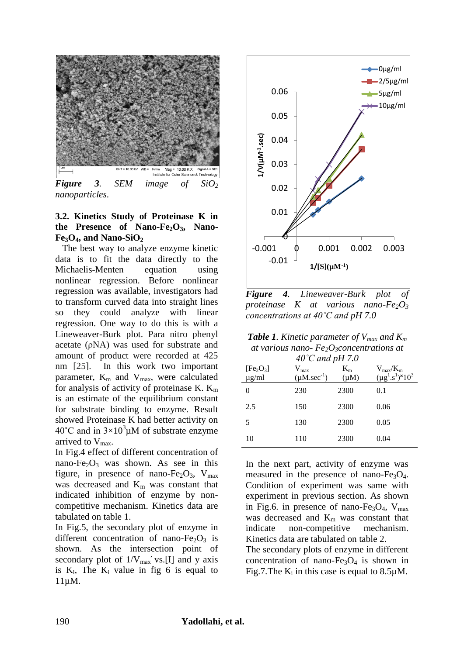

*Figure 3. SEM image of SiO<sup>2</sup> nanoparticles*.

#### **3.2. Kinetics Study of Proteinase K in the Presence of Nano-Fe2O3, Nano-** $Fe<sub>3</sub>O<sub>4</sub>$ **, and Nano-SiO**<sup>2</sup>

 The best way to analyze enzyme kinetic data is to fit the data directly to the Michaelis-Menten equation using nonlinear regression. Before nonlinear regression was available, investigators had to transform curved data into straight lines so they could analyze with linear regression. One way to do this is with a Lineweaver-Burk plot. Para nitro phenyl acetate (ρNA) was used for substrate and amount of product were recorded at 425 nm [25]. In this work two important parameter,  $K_m$  and  $V_{max}$ , were calculated for analysis of activity of proteinase K.  $K_m$ is an estimate of the equilibrium constant for substrate binding to enzyme. Result showed Proteinase K had better activity on  $40^{\circ}$ C and in  $3\times10^{3}$ µM of substrate enzyme arrived to  $V_{\text{max}}$ .

In Fig.4 effect of different concentration of nano-Fe<sub>2</sub>O<sub>3</sub> was shown. As see in this figure, in presence of nano-Fe<sub>2</sub>O<sub>3</sub>, V<sub>max</sub> was decreased and K<sub>m</sub> was constant that indicated inhibition of enzyme by noncompetitive mechanism. Kinetics data are tabulated on table 1.

In Fig.5, the secondary plot of enzyme in different concentration of nano-Fe<sub>2</sub>O<sub>3</sub> is shown. As the intersection point of secondary plot of  $1/V_{max}$ ' vs.[I] and y axis is  $K_i$ , The  $K_i$  value in fig 6 is equal to 11µM.



**Figure** 4. *Lineweaver-Burk plot proteinase K at various nano-Fe2O<sup>3</sup> concentrations at 40˚C and pH 7.0*

*Table 1. Kinetic parameter of Vmax and K<sup>m</sup> at various nano- Fe2O3concentrations at 40˚C and pH 7.0*

| [Fe <sub>2</sub> O <sub>3</sub> ]<br>$\mu$ g/ml | $V_{\text{max}}$<br>$(\mu M. \sec^{-1})$ | $K_{m}$<br>$(\mu M)$ | $V_{max}/K_{m}$<br>$(\mu g^1.s^1)^{\times}10^3$ |
|-------------------------------------------------|------------------------------------------|----------------------|-------------------------------------------------|
| 0                                               | 230                                      | 2300                 | 0.1                                             |
| 2.5                                             | 150                                      | 2300                 | 0.06                                            |
| 5                                               | 130                                      | 2300                 | 0.05                                            |
| 10                                              | 110                                      | 2300                 | 0.04                                            |

In the next part, activity of enzyme was measured in the presence of nano- $Fe<sub>3</sub>O<sub>4</sub>$ . Condition of experiment was same with experiment in previous section. As shown in Fig.6. in presence of nano-Fe<sub>3</sub>O<sub>4</sub>,  $V_{max}$ was decreased and K<sub>m</sub> was constant that indicate non-competitive mechanism. Kinetics data are tabulated on table 2.

The secondary plots of enzyme in different concentration of nano-Fe<sub>3</sub>O<sub>4</sub> is shown in Fig.7. The  $K_i$  in this case is equal to 8.5 $\mu$ M.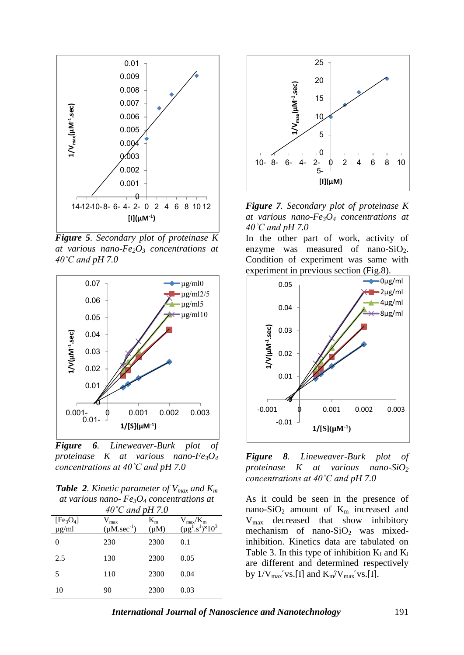

*Figure 5. Secondary plot of proteinase K at various nano-Fe2O<sup>3</sup> concentrations at 40˚C and pH 7.0*



*Figure 6. Lineweaver-Burk plot of proteinase K at various nano-Fe3O<sup>4</sup> concentrations at 40˚C and pH 7.0*

*Table 2. Kinetic parameter of Vmax and K<sup>m</sup> at various nano- Fe3O<sup>4</sup> concentrations at* 

| 40°C and pH 7.0                                 |                                          |                      |                                          |  |  |  |
|-------------------------------------------------|------------------------------------------|----------------------|------------------------------------------|--|--|--|
| [Fe <sub>3</sub> O <sub>4</sub> ]<br>$\mu$ g/ml | $V_{\text{max}}$<br>$(\mu M. \sec^{-1})$ | $K_{m}$<br>$(\mu M)$ | $V_{max}/K_{m}$<br>$(\mu g^1.s^1)^*10^3$ |  |  |  |
|                                                 | 230                                      | 2300                 | 0.1                                      |  |  |  |
| 2.5                                             | 130                                      | 2300                 | 0.05                                     |  |  |  |
| 5                                               | 110                                      | 2300                 | 0.04                                     |  |  |  |
| 10                                              | 90                                       | 2300                 | 0.03                                     |  |  |  |



*Figure 7. Secondary plot of proteinase K at various nano-Fe3O<sup>4</sup> concentrations at 40˚C and pH 7.0*

In the other part of work, activity of enzyme was measured of nano- $SiO<sub>2</sub>$ . Condition of experiment was same with experiment in previous section (Fig.8).





As it could be seen in the presence of nano-SiO<sub>2</sub> amount of  $K_m$  increased and Vmax decreased that show inhibitory mechanism of nano- $SiO<sub>2</sub>$  was mixedinhibition. Kinetics data are tabulated on Table 3. In this type of inhibition  $K_I$  and  $K_i$ are different and determined respectively by  $1/V_{\text{max}}$ 'vs.[I] and  $K_{\text{m}}/V_{\text{max}}$ 'vs.[I].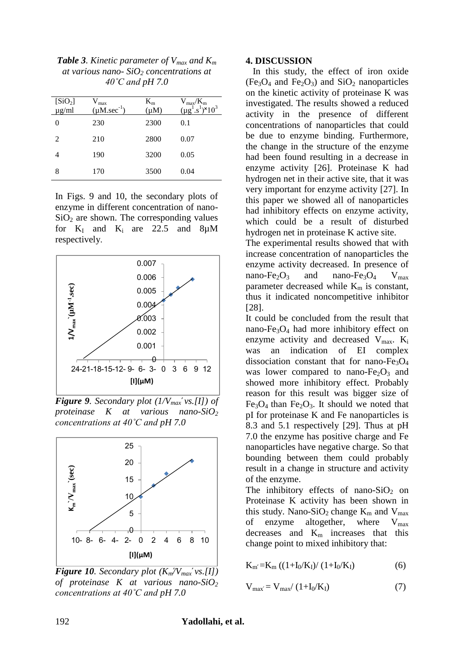| [SiO <sub>2</sub> ]<br>$\mu$ g/ml | $V_{max}$<br>$(\mu M. \sec^{-1})$ | $K_{m}$<br>$(\mu M)$ | $V_{max}/K_{m}$<br>$(\mu g^1.s^1)^*10^3$ |
|-----------------------------------|-----------------------------------|----------------------|------------------------------------------|
| 0                                 | 230                               | 2300                 | 0.1                                      |
| 2                                 | 210                               | 2800                 | 0.07                                     |
| 4                                 | 190                               | 3200                 | 0.05                                     |
| 8                                 | 170                               | 3500                 | 0.04                                     |
|                                   |                                   |                      |                                          |

*Table 3. Kinetic parameter of Vmax and K<sup>m</sup> at various nano- SiO<sup>2</sup> concentrations at 40˚C and pH 7.0*

In Figs. 9 and 10, the secondary plots of enzyme in different concentration of nano- $SiO<sub>2</sub>$  are shown. The corresponding values for  $K_I$  and  $K_i$  are 22.5 and 8µM respectively.



*Figure 9. Secondary plot (1/Vmax vs.[I]) of proteinase K at various nano-SiO<sup>2</sup> concentrations at 40˚C and pH 7.0*



*Figure 10. Secondary plot*  $(K_m/V_{max} \vee s.[1])$ *of proteinase K at various nano-SiO<sup>2</sup> concentrations at 40˚C and pH 7.0*

#### **4. DISCUSSION**

 In this study, the effect of iron oxide  $(Fe_3O_4$  and  $Fe_2O_3$ ) and  $SiO_2$  nanoparticles on the kinetic activity of proteinase K was investigated. The results showed a reduced activity in the presence of different concentrations of nanoparticles that could be due to enzyme binding. Furthermore, the change in the structure of the enzyme had been found resulting in a decrease in enzyme activity [26]. Proteinase K had hydrogen net in their active site, that it was very important for enzyme activity [27]. In this paper we showed all of nanoparticles had inhibitory effects on enzyme activity, which could be a result of disturbed hydrogen net in proteinase K active site.

The experimental results showed that with increase concentration of nanoparticles the enzyme activity decreased. In presence of nano-Fe<sub>2</sub>O<sub>3</sub> and nano-Fe<sub>3</sub>O<sub>4</sub> V<sub>max</sub> parameter decreased while  $K_m$  is constant, thus it indicated noncompetitive inhibitor [28].

It could be concluded from the result that nano-Fe3O<sup>4</sup> had more inhibitory effect on enzyme activity and decreased  $V_{max}$ .  $K_i$ was an indication of EI complex dissociation constant that for nano- $Fe<sub>3</sub>O<sub>4</sub>$ was lower compared to nano- $Fe<sub>2</sub>O<sub>3</sub>$  and showed more inhibitory effect. Probably reason for this result was bigger size of  $Fe<sub>3</sub>O<sub>4</sub>$  than  $Fe<sub>2</sub>O<sub>3</sub>$ . It should we noted that pI for proteinase K and Fe nanoparticles is 8.3 and 5.1 respectively [29]. Thus at pH 7.0 the enzyme has positive charge and Fe nanoparticles have negative charge. So that bounding between them could probably result in a change in structure and activity of the enzyme.

The inhibitory effects of nano-SiO<sub>2</sub> on Proteinase K activity has been shown in this study. Nano-SiO<sub>2</sub> change  $K_m$  and  $V_{max}$ of enzyme altogether, where  $V_{\text{max}}$ decreases and  $K<sub>m</sub>$  increases that this change point to mixed inhibitory that:

 $K_{m'}=K_{m} ((1+I_{0}/K_{I})/(1+I_{0}/K_{I})$  (6)

$$
V_{max} = V_{max}/(1 + I_0/K_I)
$$
 (7)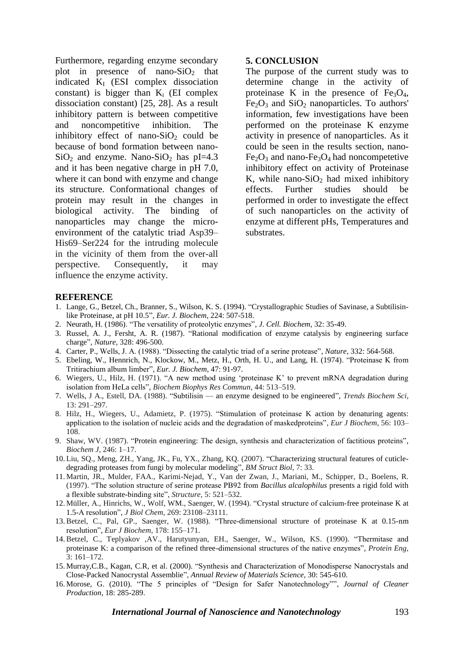Furthermore, regarding enzyme secondary plot in presence of nano-SiO<sub>2</sub> that indicated  $K_I$  (ESI complex dissociation constant) is bigger than  $K_i$  (EI complex dissociation constant) [25, 28]. As a result inhibitory pattern is between competitive and noncompetitive inhibition. The inhibitory effect of nano-SiO<sub>2</sub> could be because of bond formation between nano- $SiO<sub>2</sub>$  and enzyme. Nano-SiO<sub>2</sub> has pI=4.3 and it has been negative charge in pH 7.0, where it can bond with enzyme and change its structure. Conformational changes of protein may result in the changes in biological activity. The binding of nanoparticles may change the microenvironment of the catalytic triad Asp39– His69–Ser224 for the intruding molecule in the vicinity of them from the over-all perspective. Consequently, it may influence the enzyme activity.

#### **5. CONCLUSION**

The purpose of the current study was to determine change in the activity of proteinase K in the presence of  $Fe<sub>3</sub>O<sub>4</sub>$ ,  $Fe<sub>2</sub>O<sub>3</sub>$  and  $SiO<sub>2</sub>$  nanoparticles. To authors' information, few investigations have been performed on the proteinase K enzyme activity in presence of nanoparticles. As it could be seen in the results section, nano- $Fe<sub>2</sub>O<sub>3</sub>$  and nano- $Fe<sub>3</sub>O<sub>4</sub>$  had noncompetetive inhibitory effect on activity of Proteinase K, while nano- $SiO<sub>2</sub>$  had mixed inhibitory effects. Further studies should be performed in order to investigate the effect of such nanoparticles on the activity of enzyme at different pHs, Temperatures and substrates.

#### **REFERENCE**

- 1. Lange, G., Betzel, Ch., Branner, S., Wilson, K. S. (1994). "Crystallographic Studies of Savinase, a Subtilisinlike Proteinase, at pH 10.5", *Eur. J. Biochem*, 224: 507-518.
- 2. Neurath, H. (1986). "The versatility of proteolytic enzymes", *J. Cell. Biochem*, 32: 35-49.
- 3. Russel, A. J., Fersht, A. R. (1987). "Rational modification of enzyme catalysis by engineering surface charge", *Nature*, 328: 496-500.
- 4. Carter, P., Wells, J. A. (1988). "Dissecting the catalytic triad of a serine protease", *Nature*, 332: 564-568.
- 5. Ebeling, W., Hennrich, N., Klockow, M., Metz, H., Orth, H. U., and Lang, H. (1974). "Proteinase K fro Tritirachium album limber", *Eur. J. Biochem*, 47: 91-97.
- 6. Wiegers, U., Hilz, H. (1971). "A new method using 'proteinase K' to prevent mRNA degradation during isolation from HeLa cells", *Biochem Biophys Res Commun*, 44: 513-519.
- 7. Wells, J A., Estell, DA. (1988). "Subtilisin an enzyme designed to be engineered", *Trends Biochem Sci*, 13: 291–297.
- 8. Hilz, H., Wiegers, U., Adamietz, P. (1975). "Stimulation of proteinase K action by denaturing agents: application to the isolation of nucleic acids and the degradation of maskedproteins", *Eur J Biochem*, 56: 103– 108.
- 9. Shaw, WV. (1987). "Protein engineering: The design, synthesis and characterization of factitious proteins", *Biochem J*, 246: 1–17.
- 10. Liu, SQ., Meng, ZH., Yang, JK., Fu, YX., Zhang, KQ. (2007). "Characterizing structural features of cuticledegrading proteases from fungi by molecular modeling", *BM Struct Biol*, 7: 33.
- 11. Martin, JR., Mulder, FAA., Karimi-Nejad, Y., Van der Zwan, J., Mariani, M., Schipper, D., Boelens, R. (1997). "The solution structure of serine protease PB92 from *Bacillus alcalophilus* presents a rigid fold with a flexible substrate-binding site", *Structure*, 5: 521–532.
- 12. Müller, A., Hinrichs, W., Wolf, WM., Saenger, W. (1994). "Crystal structure of calcium-free proteinase K at 1.5-A resolution", *J Biol Chem*, 269: 23108–23111.
- 13.Betzel, C., Pal, GP., Saenger, W. (1988). "Three-dimensional structure of proteinase K at 0.15-nm resolution", *Eur J Biochem*, 178: 155–171.
- 14. Betzel, C., Teplyakov ,AV., Harutyunyan, EH., Saenger, W., Wilson, KS. (1990). "Thermitase and proteinase K: a comparison of the refined three-dimensional structures of the native enzymes", *Protein Eng*, 3: 161–172.
- 15. Murray,C.B., Kagan, C.R, et al. (2000). "Synthesis and Characterization of Monodisperse Nanocrystals and Close-Packed Nanocrystal Assemblie", *Annual Review of Materials Science*, 30: 545-610.
- 16. Morose, G. (2010). "The 5 principles of "Design for Safer Nanotechnology"", *Journal of Cleaner Production*, 18: 285-289.